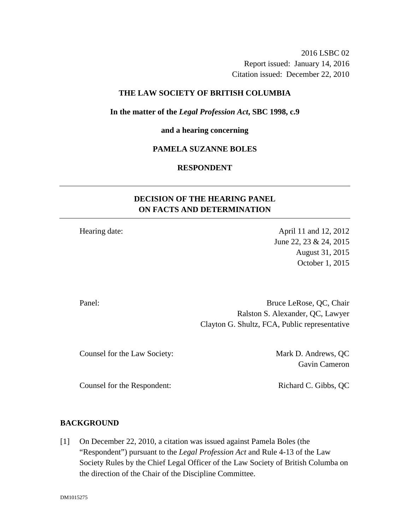2016 LSBC 02 Report issued: January 14, 2016 Citation issued: December 22, 2010

# **THE LAW SOCIETY OF BRITISH COLUMBIA**

#### **In the matter of the** *Legal Profession Act***, SBC 1998, c.9**

#### **and a hearing concerning**

### **PAMELA SUZANNE BOLES**

# **RESPONDENT**

# **DECISION OF THE HEARING PANEL ON FACTS AND DETERMINATION**

Hearing date: April 11 and 12, 2012 June 22, 23 & 24, 2015 August 31, 2015 October 1, 2015

Panel: Bruce LeRose, QC, Chair Ralston S. Alexander, QC, Lawyer Clayton G. Shultz, FCA, Public representative

Counsel for the Law Society: Mark D. Andrews, QC

Gavin Cameron

Counsel for the Respondent: Richard C. Gibbs, QC

#### **BACKGROUND**

[1] On December 22, 2010, a citation was issued against Pamela Boles (the "Respondent") pursuant to the *Legal Profession Act* and Rule 4-13 of the Law Society Rules by the Chief Legal Officer of the Law Society of British Columba on the direction of the Chair of the Discipline Committee.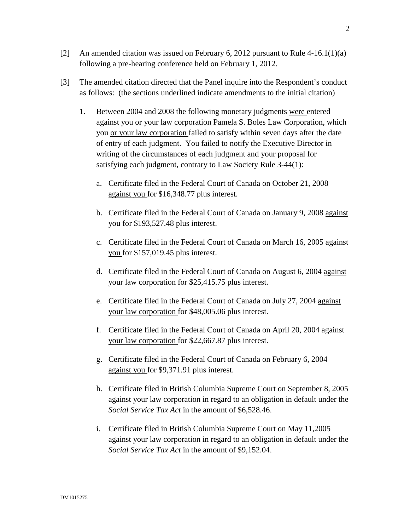- [2] An amended citation was issued on February 6, 2012 pursuant to Rule  $4-16.1(1)(a)$ following a pre-hearing conference held on February 1, 2012.
- [3] The amended citation directed that the Panel inquire into the Respondent's conduct as follows: (the sections underlined indicate amendments to the initial citation)
	- 1. Between 2004 and 2008 the following monetary judgments were entered against you or your law corporation Pamela S. Boles Law Corporation, which you or your law corporation failed to satisfy within seven days after the date of entry of each judgment. You failed to notify the Executive Director in writing of the circumstances of each judgment and your proposal for satisfying each judgment, contrary to Law Society Rule 3-44(1):
		- a. Certificate filed in the Federal Court of Canada on October 21, 2008 against you for \$16,348.77 plus interest.
		- b. Certificate filed in the Federal Court of Canada on January 9, 2008 against you for \$193,527.48 plus interest.
		- c. Certificate filed in the Federal Court of Canada on March 16, 2005 against you for \$157,019.45 plus interest.
		- d. Certificate filed in the Federal Court of Canada on August 6, 2004 against your law corporation for \$25,415.75 plus interest.
		- e. Certificate filed in the Federal Court of Canada on July 27, 2004 against your law corporation for \$48,005.06 plus interest.
		- f. Certificate filed in the Federal Court of Canada on April 20, 2004 against your law corporation for \$22,667.87 plus interest.
		- g. Certificate filed in the Federal Court of Canada on February 6, 2004 against you for \$9,371.91 plus interest.
		- h. Certificate filed in British Columbia Supreme Court on September 8, 2005 against your law corporation in regard to an obligation in default under the *Social Service Tax Act* in the amount of \$6,528.46.
		- i. Certificate filed in British Columbia Supreme Court on May 11,2005 against your law corporation in regard to an obligation in default under the *Social Service Tax Act* in the amount of \$9,152.04.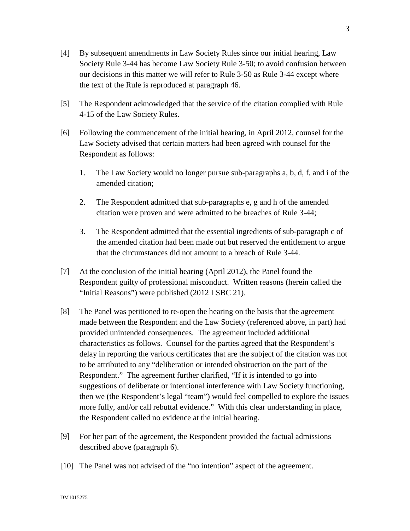- [4] By subsequent amendments in Law Society Rules since our initial hearing, Law Society Rule 3-44 has become Law Society Rule 3-50; to avoid confusion between our decisions in this matter we will refer to Rule 3-50 as Rule 3-44 except where the text of the Rule is reproduced at paragraph 46.
- [5] The Respondent acknowledged that the service of the citation complied with Rule 4-15 of the Law Society Rules.
- [6] Following the commencement of the initial hearing, in April 2012, counsel for the Law Society advised that certain matters had been agreed with counsel for the Respondent as follows:
	- 1. The Law Society would no longer pursue sub-paragraphs a, b, d, f, and i of the amended citation;
	- 2. The Respondent admitted that sub-paragraphs e, g and h of the amended citation were proven and were admitted to be breaches of Rule 3-44;
	- 3. The Respondent admitted that the essential ingredients of sub-paragraph c of the amended citation had been made out but reserved the entitlement to argue that the circumstances did not amount to a breach of Rule 3-44.
- [7] At the conclusion of the initial hearing (April 2012), the Panel found the Respondent guilty of professional misconduct. Written reasons (herein called the "Initial Reasons") were published (2012 LSBC 21).
- [8] The Panel was petitioned to re-open the hearing on the basis that the agreement made between the Respondent and the Law Society (referenced above, in part) had provided unintended consequences. The agreement included additional characteristics as follows. Counsel for the parties agreed that the Respondent's delay in reporting the various certificates that are the subject of the citation was not to be attributed to any "deliberation or intended obstruction on the part of the Respondent." The agreement further clarified, "If it is intended to go into suggestions of deliberate or intentional interference with Law Society functioning, then we (the Respondent's legal "team") would feel compelled to explore the issues more fully, and/or call rebuttal evidence." With this clear understanding in place, the Respondent called no evidence at the initial hearing.
- [9] For her part of the agreement, the Respondent provided the factual admissions described above (paragraph 6).
- [10] The Panel was not advised of the "no intention" aspect of the agreement.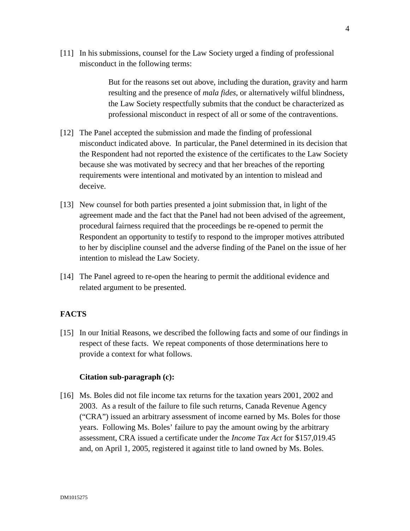[11] In his submissions, counsel for the Law Society urged a finding of professional misconduct in the following terms:

> But for the reasons set out above, including the duration, gravity and harm resulting and the presence of *mala fides*, or alternatively wilful blindness, the Law Society respectfully submits that the conduct be characterized as professional misconduct in respect of all or some of the contraventions.

- [12] The Panel accepted the submission and made the finding of professional misconduct indicated above. In particular, the Panel determined in its decision that the Respondent had not reported the existence of the certificates to the Law Society because she was motivated by secrecy and that her breaches of the reporting requirements were intentional and motivated by an intention to mislead and deceive.
- [13] New counsel for both parties presented a joint submission that, in light of the agreement made and the fact that the Panel had not been advised of the agreement, procedural fairness required that the proceedings be re-opened to permit the Respondent an opportunity to testify to respond to the improper motives attributed to her by discipline counsel and the adverse finding of the Panel on the issue of her intention to mislead the Law Society.
- [14] The Panel agreed to re-open the hearing to permit the additional evidence and related argument to be presented.

# **FACTS**

[15] In our Initial Reasons, we described the following facts and some of our findings in respect of these facts. We repeat components of those determinations here to provide a context for what follows.

#### **Citation sub-paragraph (c):**

[16] Ms. Boles did not file income tax returns for the taxation years 2001, 2002 and 2003. As a result of the failure to file such returns, Canada Revenue Agency ("CRA") issued an arbitrary assessment of income earned by Ms. Boles for those years. Following Ms. Boles' failure to pay the amount owing by the arbitrary assessment, CRA issued a certificate under the *Income Tax Act* for \$157,019.45 and, on April 1, 2005, registered it against title to land owned by Ms. Boles.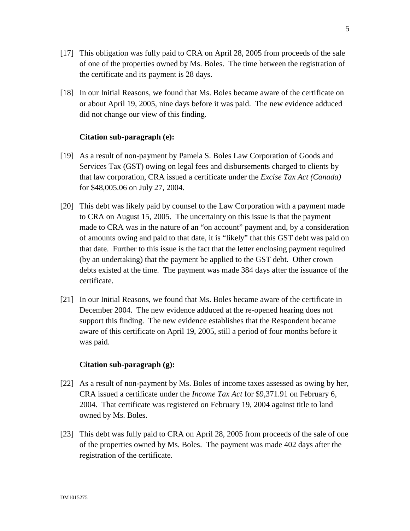- [17] This obligation was fully paid to CRA on April 28, 2005 from proceeds of the sale of one of the properties owned by Ms. Boles. The time between the registration of the certificate and its payment is 28 days.
- [18] In our Initial Reasons, we found that Ms. Boles became aware of the certificate on or about April 19, 2005, nine days before it was paid. The new evidence adduced did not change our view of this finding.

# **Citation sub-paragraph (e):**

- [19] As a result of non-payment by Pamela S. Boles Law Corporation of Goods and Services Tax (GST) owing on legal fees and disbursements charged to clients by that law corporation, CRA issued a certificate under the *Excise Tax Act (Canada)* for \$48,005.06 on July 27, 2004.
- [20] This debt was likely paid by counsel to the Law Corporation with a payment made to CRA on August 15, 2005. The uncertainty on this issue is that the payment made to CRA was in the nature of an "on account" payment and, by a consideration of amounts owing and paid to that date, it is "likely" that this GST debt was paid on that date. Further to this issue is the fact that the letter enclosing payment required (by an undertaking) that the payment be applied to the GST debt. Other crown debts existed at the time. The payment was made 384 days after the issuance of the certificate.
- [21] In our Initial Reasons, we found that Ms. Boles became aware of the certificate in December 2004. The new evidence adduced at the re-opened hearing does not support this finding. The new evidence establishes that the Respondent became aware of this certificate on April 19, 2005, still a period of four months before it was paid.

#### **Citation sub-paragraph (g):**

- [22] As a result of non-payment by Ms. Boles of income taxes assessed as owing by her, CRA issued a certificate under the *Income Tax Act* for \$9,371.91 on February 6, 2004. That certificate was registered on February 19, 2004 against title to land owned by Ms. Boles.
- [23] This debt was fully paid to CRA on April 28, 2005 from proceeds of the sale of one of the properties owned by Ms. Boles. The payment was made 402 days after the registration of the certificate.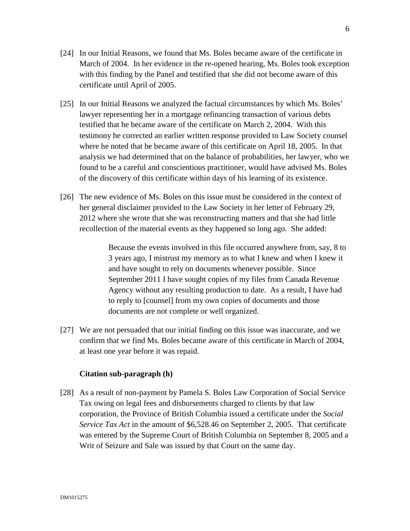- [24] In our Initial Reasons, we found that Ms. Boles became aware of the certificate in March of 2004. In her evidence in the re-opened hearing, Ms. Boles took exception with this finding by the Panel and testified that she did not become aware of this certificate until April of 2005.
- [25] In our Initial Reasons we analyzed the factual circumstances by which Ms. Boles' lawyer representing her in a mortgage refinancing transaction of various debts testified that he became aware of the certificate on March 2, 2004. With this testimony he corrected an earlier written response provided to Law Society counsel where he noted that he became aware of this certificate on April 18, 2005. In that analysis we had determined that on the balance of probabilities, her lawyer, who we found to be a careful and conscientious practitioner, would have advised Ms. Boles of the discovery of this certificate within days of his learning of its existence.
- [26] The new evidence of Ms. Boles on this issue must be considered in the context of her general disclaimer provided to the Law Society in her letter of February 29, 2012 where she wrote that she was reconstructing matters and that she had little recollection of the material events as they happened so long ago. She added:

Because the events involved in this file occurred anywhere from, say, 8 to 3 years ago, I mistrust my memory as to what I knew and when I knew it and have sought to rely on documents whenever possible. Since September 2011 I have sought copies of my files from Canada Revenue Agency without any resulting production to date. As a result, I have had to reply to [counsel] from my own copies of documents and those documents are not complete or well organized.

[27] We are not persuaded that our initial finding on this issue was inaccurate, and we confirm that we find Ms. Boles became aware of this certificate in March of 2004, at least one year before it was repaid.

#### **Citation sub-paragraph (h)**

[28] As a result of non-payment by Pamela S. Boles Law Corporation of Social Service Tax owing on legal fees and disbursements charged to clients by that law corporation, the Province of British Columbia issued a certificate under the *Social Service Tax Act* in the amount of \$6,528.46 on September 2, 2005. That certificate was entered by the Supreme Court of British Columbia on September 8, 2005 and a Writ of Seizure and Sale was issued by that Court on the same day.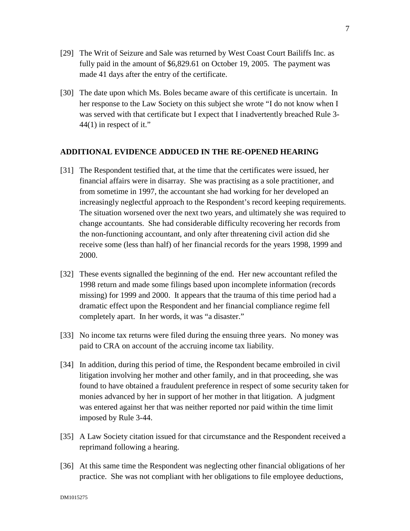- [29] The Writ of Seizure and Sale was returned by West Coast Court Bailiffs Inc. as fully paid in the amount of \$6,829.61 on October 19, 2005. The payment was made 41 days after the entry of the certificate.
- [30] The date upon which Ms. Boles became aware of this certificate is uncertain. In her response to the Law Society on this subject she wrote "I do not know when I was served with that certificate but I expect that I inadvertently breached Rule 3- 44(1) in respect of it."

# **ADDITIONAL EVIDENCE ADDUCED IN THE RE-OPENED HEARING**

- [31] The Respondent testified that, at the time that the certificates were issued, her financial affairs were in disarray. She was practising as a sole practitioner, and from sometime in 1997, the accountant she had working for her developed an increasingly neglectful approach to the Respondent's record keeping requirements. The situation worsened over the next two years, and ultimately she was required to change accountants. She had considerable difficulty recovering her records from the non-functioning accountant, and only after threatening civil action did she receive some (less than half) of her financial records for the years 1998, 1999 and 2000.
- [32] These events signalled the beginning of the end. Her new accountant refiled the 1998 return and made some filings based upon incomplete information (records missing) for 1999 and 2000. It appears that the trauma of this time period had a dramatic effect upon the Respondent and her financial compliance regime fell completely apart. In her words, it was "a disaster."
- [33] No income tax returns were filed during the ensuing three years. No money was paid to CRA on account of the accruing income tax liability.
- [34] In addition, during this period of time, the Respondent became embroiled in civil litigation involving her mother and other family, and in that proceeding, she was found to have obtained a fraudulent preference in respect of some security taken for monies advanced by her in support of her mother in that litigation. A judgment was entered against her that was neither reported nor paid within the time limit imposed by Rule 3-44.
- [35] A Law Society citation issued for that circumstance and the Respondent received a reprimand following a hearing.
- [36] At this same time the Respondent was neglecting other financial obligations of her practice. She was not compliant with her obligations to file employee deductions,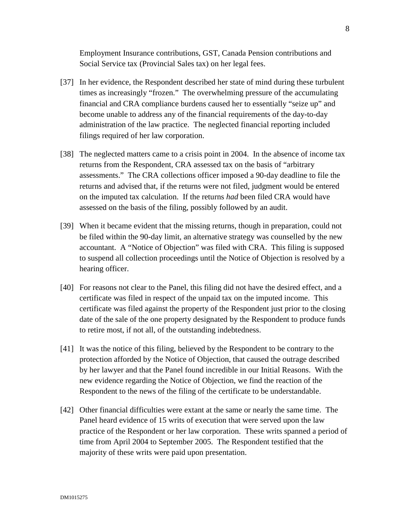Employment Insurance contributions, GST, Canada Pension contributions and Social Service tax (Provincial Sales tax) on her legal fees.

- [37] In her evidence, the Respondent described her state of mind during these turbulent times as increasingly "frozen." The overwhelming pressure of the accumulating financial and CRA compliance burdens caused her to essentially "seize up" and become unable to address any of the financial requirements of the day-to-day administration of the law practice. The neglected financial reporting included filings required of her law corporation.
- [38] The neglected matters came to a crisis point in 2004. In the absence of income tax returns from the Respondent, CRA assessed tax on the basis of "arbitrary assessments." The CRA collections officer imposed a 90-day deadline to file the returns and advised that, if the returns were not filed, judgment would be entered on the imputed tax calculation. If the returns *had* been filed CRA would have assessed on the basis of the filing, possibly followed by an audit.
- [39] When it became evident that the missing returns, though in preparation, could not be filed within the 90-day limit, an alternative strategy was counselled by the new accountant. A "Notice of Objection" was filed with CRA. This filing is supposed to suspend all collection proceedings until the Notice of Objection is resolved by a hearing officer.
- [40] For reasons not clear to the Panel, this filing did not have the desired effect, and a certificate was filed in respect of the unpaid tax on the imputed income. This certificate was filed against the property of the Respondent just prior to the closing date of the sale of the one property designated by the Respondent to produce funds to retire most, if not all, of the outstanding indebtedness.
- [41] It was the notice of this filing, believed by the Respondent to be contrary to the protection afforded by the Notice of Objection, that caused the outrage described by her lawyer and that the Panel found incredible in our Initial Reasons. With the new evidence regarding the Notice of Objection, we find the reaction of the Respondent to the news of the filing of the certificate to be understandable.
- [42] Other financial difficulties were extant at the same or nearly the same time. The Panel heard evidence of 15 writs of execution that were served upon the law practice of the Respondent or her law corporation. These writs spanned a period of time from April 2004 to September 2005. The Respondent testified that the majority of these writs were paid upon presentation.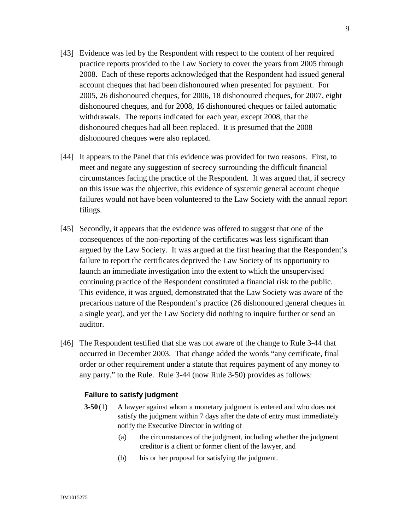- [43] Evidence was led by the Respondent with respect to the content of her required practice reports provided to the Law Society to cover the years from 2005 through 2008. Each of these reports acknowledged that the Respondent had issued general account cheques that had been dishonoured when presented for payment. For 2005, 26 dishonoured cheques, for 2006, 18 dishonoured cheques, for 2007, eight dishonoured cheques, and for 2008, 16 dishonoured cheques or failed automatic withdrawals. The reports indicated for each year, except 2008, that the dishonoured cheques had all been replaced. It is presumed that the 2008 dishonoured cheques were also replaced.
- [44] It appears to the Panel that this evidence was provided for two reasons. First, to meet and negate any suggestion of secrecy surrounding the difficult financial circumstances facing the practice of the Respondent. It was argued that, if secrecy on this issue was the objective, this evidence of systemic general account cheque failures would not have been volunteered to the Law Society with the annual report filings.
- [45] Secondly, it appears that the evidence was offered to suggest that one of the consequences of the non-reporting of the certificates was less significant than argued by the Law Society. It was argued at the first hearing that the Respondent's failure to report the certificates deprived the Law Society of its opportunity to launch an immediate investigation into the extent to which the unsupervised continuing practice of the Respondent constituted a financial risk to the public. This evidence, it was argued, demonstrated that the Law Society was aware of the precarious nature of the Respondent's practice (26 dishonoured general cheques in a single year), and yet the Law Society did nothing to inquire further or send an auditor.
- [46] The Respondent testified that she was not aware of the change to Rule 3-44 that occurred in December 2003. That change added the words "any certificate, final order or other requirement under a statute that requires payment of any money to any party." to the Rule. Rule 3-44 (now Rule 3-50) provides as follows:

#### **Failure to satisfy judgment**

- **3-50** (1) A lawyer against whom a monetary judgment is entered and who does not satisfy the judgment within 7 days after the date of entry must immediately notify the Executive Director in writing of
	- (a) the circumstances of the judgment, including whether the judgment creditor is a client or former client of the lawyer, and
	- (b) his or her proposal for satisfying the judgment.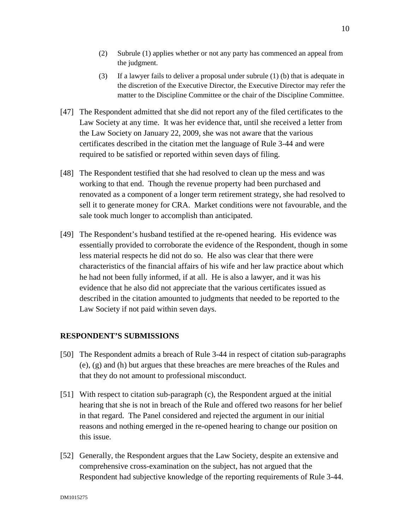- (2) Subrule (1) applies whether or not any party has commenced an appeal from the judgment.
- (3) If a lawyer fails to deliver a proposal under subrule (1) (b) that is adequate in the discretion of the Executive Director, the Executive Director may refer the matter to the Discipline Committee or the chair of the Discipline Committee.
- [47] The Respondent admitted that she did not report any of the filed certificates to the Law Society at any time. It was her evidence that, until she received a letter from the Law Society on January 22, 2009, she was not aware that the various certificates described in the citation met the language of Rule 3-44 and were required to be satisfied or reported within seven days of filing.
- [48] The Respondent testified that she had resolved to clean up the mess and was working to that end. Though the revenue property had been purchased and renovated as a component of a longer term retirement strategy, she had resolved to sell it to generate money for CRA. Market conditions were not favourable, and the sale took much longer to accomplish than anticipated.
- [49] The Respondent's husband testified at the re-opened hearing. His evidence was essentially provided to corroborate the evidence of the Respondent, though in some less material respects he did not do so. He also was clear that there were characteristics of the financial affairs of his wife and her law practice about which he had not been fully informed, if at all. He is also a lawyer, and it was his evidence that he also did not appreciate that the various certificates issued as described in the citation amounted to judgments that needed to be reported to the Law Society if not paid within seven days.

# **RESPONDENT'S SUBMISSIONS**

- [50] The Respondent admits a breach of Rule 3-44 in respect of citation sub-paragraphs (e), (g) and (h) but argues that these breaches are mere breaches of the Rules and that they do not amount to professional misconduct.
- [51] With respect to citation sub-paragraph (c), the Respondent argued at the initial hearing that she is not in breach of the Rule and offered two reasons for her belief in that regard. The Panel considered and rejected the argument in our initial reasons and nothing emerged in the re-opened hearing to change our position on this issue.
- [52] Generally, the Respondent argues that the Law Society, despite an extensive and comprehensive cross-examination on the subject, has not argued that the Respondent had subjective knowledge of the reporting requirements of Rule 3-44.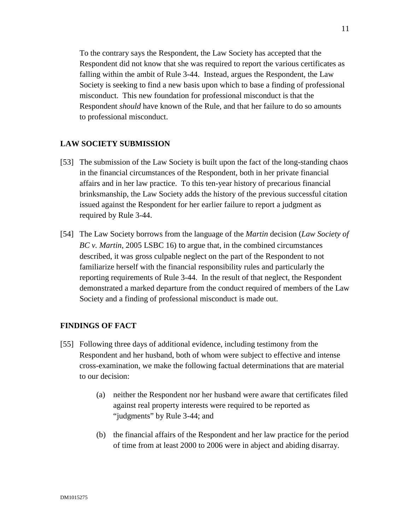To the contrary says the Respondent, the Law Society has accepted that the Respondent did not know that she was required to report the various certificates as falling within the ambit of Rule 3-44. Instead, argues the Respondent, the Law Society is seeking to find a new basis upon which to base a finding of professional misconduct. This new foundation for professional misconduct is that the Respondent *should* have known of the Rule, and that her failure to do so amounts to professional misconduct.

# **LAW SOCIETY SUBMISSION**

- [53] The submission of the Law Society is built upon the fact of the long-standing chaos in the financial circumstances of the Respondent, both in her private financial affairs and in her law practice. To this ten-year history of precarious financial brinksmanship, the Law Society adds the history of the previous successful citation issued against the Respondent for her earlier failure to report a judgment as required by Rule 3-44.
- [54] The Law Society borrows from the language of the *Martin* decision (*Law Society of BC v. Martin*, 2005 LSBC 16) to argue that, in the combined circumstances described, it was gross culpable neglect on the part of the Respondent to not familiarize herself with the financial responsibility rules and particularly the reporting requirements of Rule 3-44. In the result of that neglect, the Respondent demonstrated a marked departure from the conduct required of members of the Law Society and a finding of professional misconduct is made out.

## **FINDINGS OF FACT**

- [55] Following three days of additional evidence, including testimony from the Respondent and her husband, both of whom were subject to effective and intense cross-examination, we make the following factual determinations that are material to our decision:
	- (a) neither the Respondent nor her husband were aware that certificates filed against real property interests were required to be reported as "judgments" by Rule 3-44; and
	- (b) the financial affairs of the Respondent and her law practice for the period of time from at least 2000 to 2006 were in abject and abiding disarray.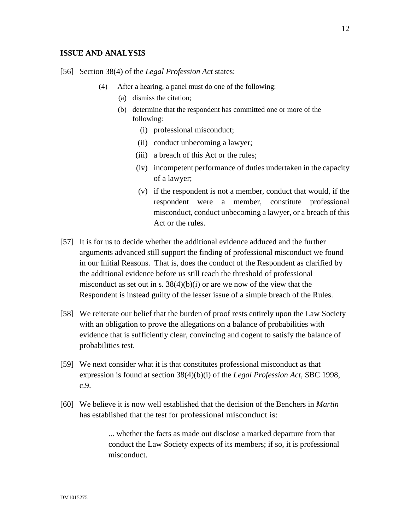#### **ISSUE AND ANALYSIS**

- [56] Section 38(4) of the *Legal Profession Act* states:
	- (4) After a hearing, a panel must do one of the following:
		- (a) dismiss the citation;
		- (b) determine that the respondent has committed one or more of the following:
			- (i) professional misconduct;
			- (ii) conduct unbecoming a lawyer;
			- (iii) a breach of this Act or the rules;
			- (iv) incompetent performance of duties undertaken in the capacity of a lawyer;
			- (v) if the respondent is not a member, conduct that would, if the respondent were a member, constitute professional misconduct, conduct unbecoming a lawyer, or a breach of this Act or the rules.
- [57] It is for us to decide whether the additional evidence adduced and the further arguments advanced still support the finding of professional misconduct we found in our Initial Reasons. That is, does the conduct of the Respondent as clarified by the additional evidence before us still reach the threshold of professional misconduct as set out in s.  $38(4)(b)(i)$  or are we now of the view that the Respondent is instead guilty of the lesser issue of a simple breach of the Rules.
- [58] We reiterate our belief that the burden of proof rests entirely upon the Law Society with an obligation to prove the allegations on a balance of probabilities with evidence that is sufficiently clear, convincing and cogent to satisfy the balance of probabilities test.
- [59] We next consider what it is that constitutes professional misconduct as that expression is found at section 38(4)(b)(i) of the *Legal Profession Act*, SBC 1998, c.9.
- [60] We believe it is now well established that the decision of the Benchers in *Martin* has established that the test for professional misconduct is:

... whether the facts as made out disclose a marked departure from that conduct the Law Society expects of its members; if so, it is professional misconduct.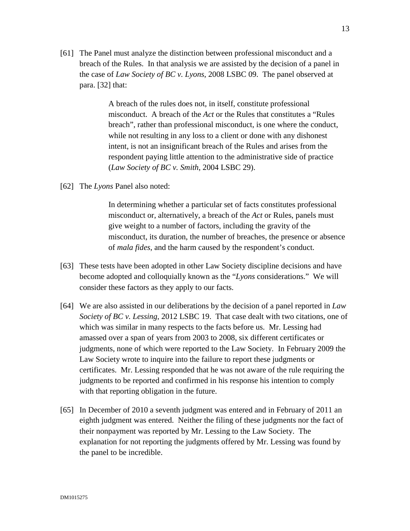[61] The Panel must analyze the distinction between professional misconduct and a breach of the Rules. In that analysis we are assisted by the decision of a panel in the case of *Law Society of BC v. Lyons*, 2008 LSBC 09. The panel observed at para. [32] that:

> A breach of the rules does not, in itself, constitute professional misconduct. A breach of the *Act* or the Rules that constitutes a "Rules breach", rather than professional misconduct, is one where the conduct, while not resulting in any loss to a client or done with any dishonest intent, is not an insignificant breach of the Rules and arises from the respondent paying little attention to the administrative side of practice (*Law Society of BC v. Smith*, 2004 LSBC 29).

[62] The *Lyons* Panel also noted:

In determining whether a particular set of facts constitutes professional misconduct or, alternatively, a breach of the *Act* or Rules, panels must give weight to a number of factors, including the gravity of the misconduct, its duration, the number of breaches, the presence or absence of *mala fides*, and the harm caused by the respondent's conduct.

- [63] These tests have been adopted in other Law Society discipline decisions and have become adopted and colloquially known as the "*Lyons* considerations." We will consider these factors as they apply to our facts.
- [64] We are also assisted in our deliberations by the decision of a panel reported in *Law Society of BC v. Lessing*, 2012 LSBC 19. That case dealt with two citations, one of which was similar in many respects to the facts before us. Mr. Lessing had amassed over a span of years from 2003 to 2008, six different certificates or judgments, none of which were reported to the Law Society. In February 2009 the Law Society wrote to inquire into the failure to report these judgments or certificates. Mr. Lessing responded that he was not aware of the rule requiring the judgments to be reported and confirmed in his response his intention to comply with that reporting obligation in the future.
- [65] In December of 2010 a seventh judgment was entered and in February of 2011 an eighth judgment was entered. Neither the filing of these judgments nor the fact of their nonpayment was reported by Mr. Lessing to the Law Society. The explanation for not reporting the judgments offered by Mr. Lessing was found by the panel to be incredible.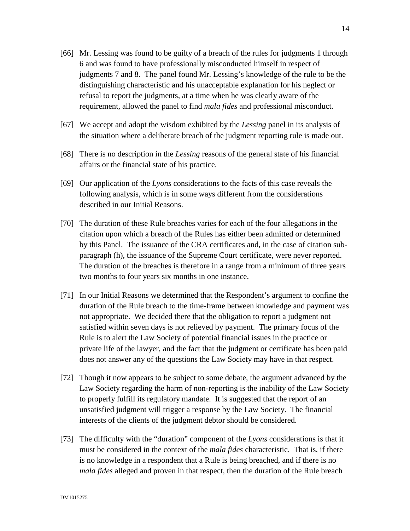- [66] Mr. Lessing was found to be guilty of a breach of the rules for judgments 1 through 6 and was found to have professionally misconducted himself in respect of judgments 7 and 8. The panel found Mr. Lessing's knowledge of the rule to be the distinguishing characteristic and his unacceptable explanation for his neglect or refusal to report the judgments, at a time when he was clearly aware of the requirement, allowed the panel to find *mala fides* and professional misconduct.
- [67] We accept and adopt the wisdom exhibited by the *Lessing* panel in its analysis of the situation where a deliberate breach of the judgment reporting rule is made out.
- [68] There is no description in the *Lessing* reasons of the general state of his financial affairs or the financial state of his practice.
- [69] Our application of the *Lyons* considerations to the facts of this case reveals the following analysis, which is in some ways different from the considerations described in our Initial Reasons.
- [70] The duration of these Rule breaches varies for each of the four allegations in the citation upon which a breach of the Rules has either been admitted or determined by this Panel. The issuance of the CRA certificates and, in the case of citation subparagraph (h), the issuance of the Supreme Court certificate, were never reported. The duration of the breaches is therefore in a range from a minimum of three years two months to four years six months in one instance.
- [71] In our Initial Reasons we determined that the Respondent's argument to confine the duration of the Rule breach to the time-frame between knowledge and payment was not appropriate. We decided there that the obligation to report a judgment not satisfied within seven days is not relieved by payment. The primary focus of the Rule is to alert the Law Society of potential financial issues in the practice or private life of the lawyer, and the fact that the judgment or certificate has been paid does not answer any of the questions the Law Society may have in that respect.
- [72] Though it now appears to be subject to some debate, the argument advanced by the Law Society regarding the harm of non-reporting is the inability of the Law Society to properly fulfill its regulatory mandate. It is suggested that the report of an unsatisfied judgment will trigger a response by the Law Society. The financial interests of the clients of the judgment debtor should be considered.
- [73] The difficulty with the "duration" component of the *Lyons* considerations is that it must be considered in the context of the *mala fides* characteristic. That is, if there is no knowledge in a respondent that a Rule is being breached, and if there is no *mala fides* alleged and proven in that respect, then the duration of the Rule breach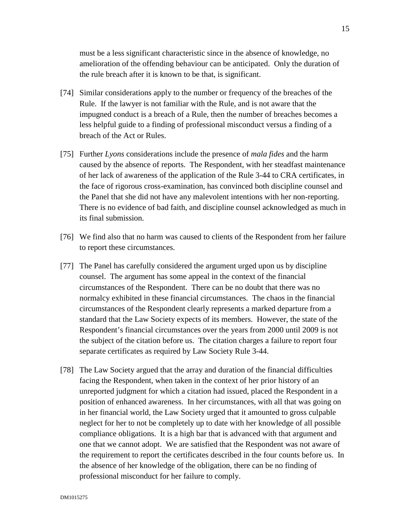must be a less significant characteristic since in the absence of knowledge, no amelioration of the offending behaviour can be anticipated. Only the duration of the rule breach after it is known to be that, is significant.

- [74] Similar considerations apply to the number or frequency of the breaches of the Rule. If the lawyer is not familiar with the Rule, and is not aware that the impugned conduct is a breach of a Rule, then the number of breaches becomes a less helpful guide to a finding of professional misconduct versus a finding of a breach of the Act or Rules.
- [75] Further *Lyons* considerations include the presence of *mala fides* and the harm caused by the absence of reports. The Respondent, with her steadfast maintenance of her lack of awareness of the application of the Rule 3-44 to CRA certificates, in the face of rigorous cross-examination, has convinced both discipline counsel and the Panel that she did not have any malevolent intentions with her non-reporting. There is no evidence of bad faith, and discipline counsel acknowledged as much in its final submission.
- [76] We find also that no harm was caused to clients of the Respondent from her failure to report these circumstances.
- [77] The Panel has carefully considered the argument urged upon us by discipline counsel. The argument has some appeal in the context of the financial circumstances of the Respondent. There can be no doubt that there was no normalcy exhibited in these financial circumstances. The chaos in the financial circumstances of the Respondent clearly represents a marked departure from a standard that the Law Society expects of its members. However, the state of the Respondent's financial circumstances over the years from 2000 until 2009 is not the subject of the citation before us. The citation charges a failure to report four separate certificates as required by Law Society Rule 3-44.
- [78] The Law Society argued that the array and duration of the financial difficulties facing the Respondent, when taken in the context of her prior history of an unreported judgment for which a citation had issued, placed the Respondent in a position of enhanced awareness. In her circumstances, with all that was going on in her financial world, the Law Society urged that it amounted to gross culpable neglect for her to not be completely up to date with her knowledge of all possible compliance obligations. It is a high bar that is advanced with that argument and one that we cannot adopt. We are satisfied that the Respondent was not aware of the requirement to report the certificates described in the four counts before us. In the absence of her knowledge of the obligation, there can be no finding of professional misconduct for her failure to comply.